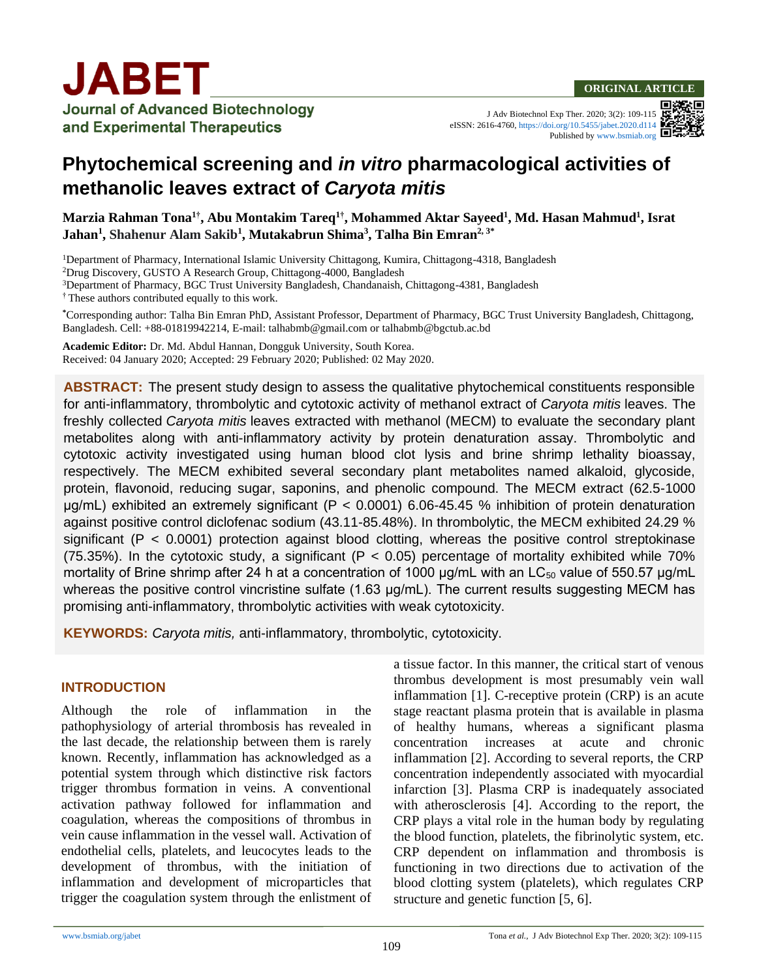J Adv Biotechnol Exp Ther. 2020; 3(2): 109-115 eISSN: 2616-4760,<https://doi.org/10.5455/jabet.2020.d114> Published b[y www.bsmiab.org](http://www.bsmiab.org/)

# **Phytochemical screening and** *in vitro* **pharmacological activities of methanolic leaves extract of** *Caryota mitis*

**Marzia Rahman Tona1† , Abu Montakim Tareq1† , Mohammed Aktar Sayeed<sup>1</sup> , Md. Hasan Mahmud<sup>1</sup> , Israt Jahan<sup>1</sup> , Shahenur Alam Sakib<sup>1</sup> , Mutakabrun Shima<sup>3</sup> , Talha Bin Emran2, 3\***

<sup>1</sup>Department of Pharmacy, International Islamic University Chittagong, Kumira, Chittagong-4318, Bangladesh

<sup>2</sup>Drug Discovery, GUSTO A Research Group, Chittagong-4000, Bangladesh

<sup>3</sup>Department of Pharmacy, BGC Trust University Bangladesh, Chandanaish, Chittagong-4381, Bangladesh

† These authors contributed equally to this work.

**\***Corresponding author: Talha Bin Emran PhD, Assistant Professor, Department of Pharmacy, BGC Trust University Bangladesh, Chittagong, Bangladesh. Cell: +88-01819942214, E-mail: talhabmb@gmail.com or talhabmb@bgctub.ac.bd

**Academic Editor:** Dr. Md. Abdul Hannan, Dongguk University, South Korea. Received: 04 January 2020; Accepted: 29 February 2020; Published: 02 May 2020.

**ABSTRACT:** The present study design to assess the qualitative phytochemical constituents responsible for anti-inflammatory, thrombolytic and cytotoxic activity of methanol extract of *Caryota mitis* leaves. The freshly collected *Caryota mitis* leaves extracted with methanol (MECM) to evaluate the secondary plant metabolites along with anti-inflammatory activity by protein denaturation assay. Thrombolytic and cytotoxic activity investigated using human blood clot lysis and brine shrimp lethality bioassay, respectively. The MECM exhibited several secondary plant metabolites named alkaloid, glycoside, protein, flavonoid, reducing sugar, saponins, and phenolic compound. The MECM extract (62.5-1000  $\mu$ g/mL) exhibited an extremely significant (P < 0.0001) 6.06-45.45 % inhibition of protein denaturation against positive control diclofenac sodium (43.11-85.48%). In thrombolytic, the MECM exhibited 24.29 % significant ( $P < 0.0001$ ) protection against blood clotting, whereas the positive control streptokinase (75.35%). In the cytotoxic study, a significant ( $P < 0.05$ ) percentage of mortality exhibited while 70% mortality of Brine shrimp after 24 h at a concentration of 1000  $\mu$ g/mL with an LC<sub>50</sub> value of 550.57  $\mu$ g/mL whereas the positive control vincristine sulfate (1.63 μg/mL). The current results suggesting MECM has promising anti-inflammatory, thrombolytic activities with weak cytotoxicity.

**KEYWORDS:** *Caryota mitis,* anti-inflammatory, thrombolytic, cytotoxicity.

## **INTRODUCTION**

Although the role of inflammation in the pathophysiology of arterial thrombosis has revealed in the last decade, the relationship between them is rarely known. Recently, inflammation has acknowledged as a potential system through which distinctive risk factors trigger thrombus formation in veins. A conventional activation pathway followed for inflammation and coagulation, whereas the compositions of thrombus in vein cause inflammation in the vessel wall. Activation of endothelial cells, platelets, and leucocytes leads to the development of thrombus, with the initiation of inflammation and development of microparticles that trigger the coagulation system through the enlistment of a tissue factor. In this manner, the critical start of venous thrombus development is most presumably vein wall inflammation [1]. C-receptive protein (CRP) is an acute stage reactant plasma protein that is available in plasma of healthy humans, whereas a significant plasma concentration increases at acute and chronic inflammation [2]. According to several reports, the CRP concentration independently associated with myocardial infarction [3]. Plasma CRP is inadequately associated with atherosclerosis [4]. According to the report, the CRP plays a vital role in the human body by regulating the blood function, platelets, the fibrinolytic system, etc. CRP dependent on inflammation and thrombosis is functioning in two directions due to activation of the blood clotting system (platelets), which regulates CRP structure and genetic function [5, 6].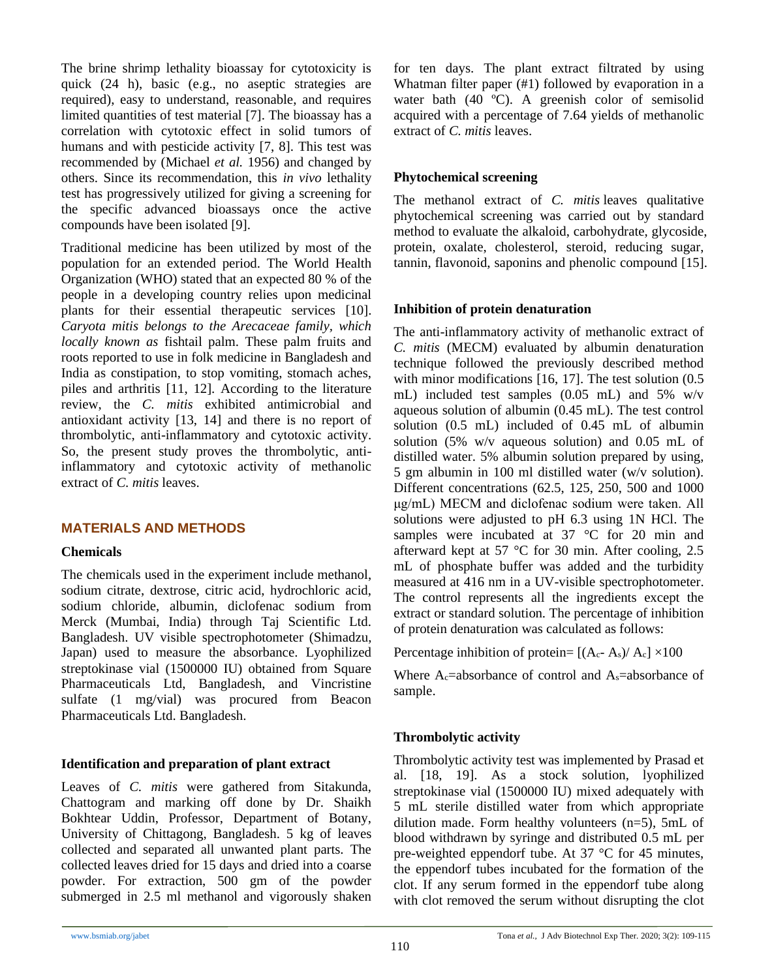The brine shrimp lethality bioassay for cytotoxicity is quick (24 h), basic (e.g., no aseptic strategies are required), easy to understand, reasonable, and requires limited quantities of test material [7]. The bioassay has a correlation with cytotoxic effect in solid tumors of humans and with pesticide activity [7, 8]. This test was recommended by (Michael *et al.* 1956) and changed by others. Since its recommendation, this *in vivo* lethality test has progressively utilized for giving a screening for the specific advanced bioassays once the active compounds have been isolated [9].

Traditional medicine has been utilized by most of the population for an extended period. The World Health Organization (WHO) stated that an expected 80 % of the people in a developing country relies upon medicinal plants for their essential therapeutic services [10]. *Caryota mitis belongs to the Arecaceae family, which locally known as* fishtail palm. These palm fruits and roots reported to use in folk medicine in Bangladesh and India as constipation, to stop vomiting, stomach aches, piles and arthritis [11, 12]. According to the literature review, the *C. mitis* exhibited antimicrobial and antioxidant activity [13, 14] and there is no report of thrombolytic, anti-inflammatory and cytotoxic activity. So, the present study proves the thrombolytic, antiinflammatory and cytotoxic activity of methanolic extract of *C. mitis* leaves.

# **MATERIALS AND METHODS**

## **Chemicals**

The chemicals used in the experiment include methanol, sodium citrate, dextrose, citric acid, hydrochloric acid, sodium chloride, albumin, diclofenac sodium from Merck (Mumbai, India) through Taj Scientific Ltd. Bangladesh. UV visible spectrophotometer (Shimadzu, Japan) used to measure the absorbance. Lyophilized streptokinase vial (1500000 IU) obtained from Square Pharmaceuticals Ltd, Bangladesh, and Vincristine sulfate (1 mg/vial) was procured from Beacon Pharmaceuticals Ltd. Bangladesh.

# **Identification and preparation of plant extract**

Leaves of *C. mitis* were gathered from Sitakunda, Chattogram and marking off done by Dr. Shaikh Bokhtear Uddin, Professor, Department of Botany, University of Chittagong, Bangladesh. 5 kg of leaves collected and separated all unwanted plant parts. The collected leaves dried for 15 days and dried into a coarse powder. For extraction, 500 gm of the powder submerged in 2.5 ml methanol and vigorously shaken for ten days. The plant extract filtrated by using Whatman filter paper (#1) followed by evaporation in a water bath (40 °C). A greenish color of semisolid acquired with a percentage of 7.64 yields of methanolic extract of *C. mitis* leaves.

# **Phytochemical screening**

The methanol extract of *C. mitis* leaves qualitative phytochemical screening was carried out by standard method to evaluate the alkaloid, carbohydrate, glycoside, protein, oxalate, cholesterol, steroid, reducing sugar, tannin, flavonoid, saponins and phenolic compound [15].

# **Inhibition of protein denaturation**

The anti-inflammatory activity of methanolic extract of *C. mitis* (MECM) evaluated by albumin denaturation technique followed the previously described method with minor modifications [16, 17]. The test solution (0.5 mL) included test samples (0.05 mL) and 5% w/v aqueous solution of albumin (0.45 mL). The test control solution (0.5 mL) included of 0.45 mL of albumin solution (5% w/v aqueous solution) and 0.05 mL of distilled water. 5% albumin solution prepared by using, 5 gm albumin in 100 ml distilled water (w/v solution). Different concentrations (62.5, 125, 250, 500 and 1000 μg/mL) MECM and diclofenac sodium were taken. All solutions were adjusted to pH 6.3 using 1N HCl. The samples were incubated at 37 °C for 20 min and afterward kept at 57 °C for 30 min. After cooling, 2.5 mL of phosphate buffer was added and the turbidity measured at 416 nm in a UV-visible spectrophotometer. The control represents all the ingredients except the extract or standard solution. The percentage of inhibition of protein denaturation was calculated as follows:

Percentage inhibition of protein=  $[(A_c-A_s)/A_c] \times 100$ 

Where  $A_c$ =absorbance of control and  $A_s$ =absorbance of sample.

# **Thrombolytic activity**

Thrombolytic activity test was implemented by Prasad et al. [18, 19]. As a stock solution, lyophilized streptokinase vial (1500000 IU) mixed adequately with 5 mL sterile distilled water from which appropriate dilution made. Form healthy volunteers (n=5), 5mL of blood withdrawn by syringe and distributed 0.5 mL per pre-weighted eppendorf tube. At 37 °C for 45 minutes, the eppendorf tubes incubated for the formation of the clot. If any serum formed in the eppendorf tube along with clot removed the serum without disrupting the clot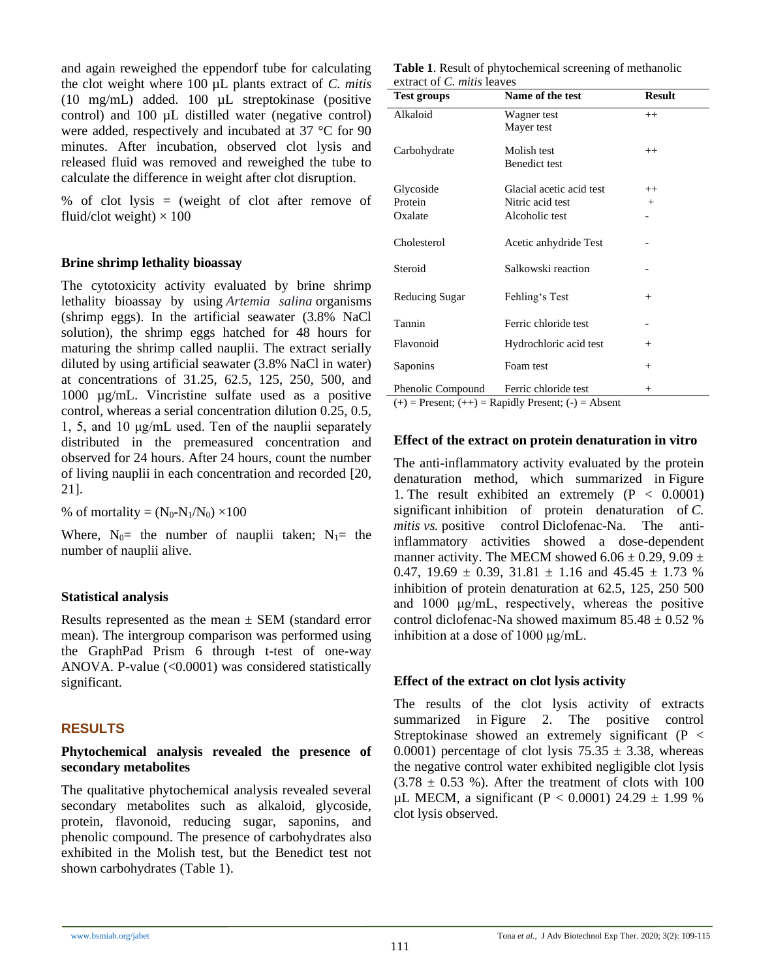and again reweighed the eppendorf tube for calculating the clot weight where 100 µL plants extract of *C. mitis* (10 mg/mL) added. 100 µL streptokinase (positive control) and 100 µL distilled water (negative control) were added, respectively and incubated at 37 °C for 90 minutes. After incubation, observed clot lysis and released fluid was removed and reweighed the tube to calculate the difference in weight after clot disruption.

% of clot lysis  $=$  (weight of clot after remove of fluid/clot weight)  $\times$  100

#### **Brine shrimp lethality bioassay**

The cytotoxicity activity evaluated by brine shrimp lethality bioassay by using *Artemia salina* organisms (shrimp eggs). In the artificial seawater (3.8% NaCl solution), the shrimp eggs hatched for 48 hours for maturing the shrimp called nauplii. The extract serially diluted by using artificial seawater (3.8% NaCl in water) at concentrations of 31.25, 62.5, 125, 250, 500, and 1000 µg/mL. Vincristine sulfate used as a positive control, whereas a serial concentration dilution 0.25, 0.5, 1, 5, and 10 μg/mL used. Ten of the nauplii separately distributed in the premeasured concentration and observed for 24 hours. After 24 hours, count the number of living nauplii in each concentration and recorded [20, 21].

% of mortality =  $(N_0-N_1/N_0) \times 100$ 

Where,  $N_0$ = the number of nauplii taken;  $N_1$ = the number of nauplii alive.

## **Statistical analysis**

Results represented as the mean  $\pm$  SEM (standard error mean). The intergroup comparison was performed using the GraphPad Prism 6 through t-test of one-way ANOVA. P-value (<0.0001) was considered statistically significant.

# **RESULTS**

## **Phytochemical analysis revealed the presence of secondary metabolites**

The qualitative phytochemical analysis revealed several secondary metabolites such as alkaloid, glycoside, protein, flavonoid, reducing sugar, saponins, and phenolic compound. The presence of carbohydrates also exhibited in the Molish test, but the Benedict test not shown carbohydrates (Table 1).

**Table 1**. Result of phytochemical screening of methanolic extract of *C. mitis* leaves

| <b>Test groups</b>              | Name of the test                                               | <b>Result</b>  |
|---------------------------------|----------------------------------------------------------------|----------------|
| Alkaloid                        | Wagner test<br>Mayer test                                      | $++$           |
| Carbohydrate                    | Molish test<br><b>Benedict test</b>                            | $^{++}$        |
| Glycoside<br>Protein<br>Oxalate | Glacial acetic acid test<br>Nitric acid test<br>Alcoholic test | $++$<br>$^{+}$ |
| Cholesterol                     | Acetic anhydride Test                                          |                |
| Steroid                         | Salkowski reaction                                             |                |
| Reducing Sugar                  | Fehling's Test                                                 | $^{+}$         |
| Tannin                          | Ferric chloride test                                           |                |
| Flavonoid                       | Hydrochloric acid test                                         | $^{+}$         |
| Saponins                        | Foam test                                                      | $^{+}$         |
| Phenolic Compound               | Ferric chloride test                                           | $\pm$          |

 $(+)$  = Present;  $(+)$  = Rapidly Present;  $(-)$  = Absent

#### **Effect of the extract on protein denaturation in vitro**

The anti-inflammatory activity evaluated by the protein denaturation method, which summarized in Figure 1. The result exhibited an extremely (P < 0.0001) significant inhibition of protein denaturation of *C. mitis vs.* positive control Diclofenac-Na. The antiinflammatory activities showed a dose-dependent manner activity. The MECM showed  $6.06 \pm 0.29$ ,  $9.09 \pm$ 0.47, 19.69  $\pm$  0.39, 31.81  $\pm$  1.16 and 45.45  $\pm$  1.73 % inhibition of protein denaturation at 62.5, 125, 250 500 and 1000 μg/mL, respectively, whereas the positive control diclofenac-Na showed maximum  $85.48 \pm 0.52$  % inhibition at a dose of 1000 μg/mL.

## **Effect of the extract on clot lysis activity**

The results of the clot lysis activity of extracts summarized in Figure 2. The positive control Streptokinase showed an extremely significant (P < 0.0001) percentage of clot lysis  $75.35 \pm 3.38$ , whereas the negative control water exhibited negligible clot lysis  $(3.78 \pm 0.53 \%)$ . After the treatment of clots with 100 µL MECM, a significant (P < 0.0001) 24.29  $\pm$  1.99 % clot lysis observed.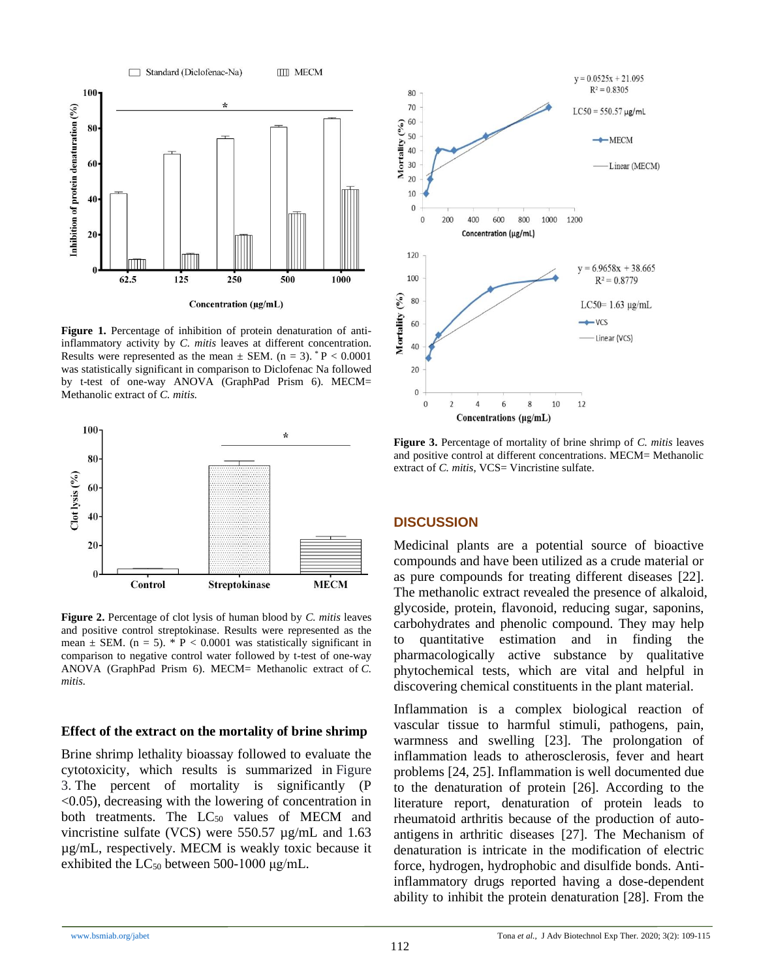$100 -$ Inhibition of protein denaturation (%)  $80<sub>1</sub>$ 60 40 20  $62.5$ 125 250 500 1000 Concentration (µg/mL)

**ITTI** MECM

Standard (Diclofenac-Na)

**Figure 1.** Percentage of inhibition of protein denaturation of antiinflammatory activity by *C. mitis* leaves at different concentration. Results were represented as the mean  $\pm$  SEM. (n = 3).  $^*$  P < 0.0001 was statistically significant in comparison to Diclofenac Na followed by t-test of one-way ANOVA (GraphPad Prism 6). MECM= Methanolic extract of *C. mitis.*



**Figure 2.** Percentage of clot lysis of human blood by *C. mitis* leaves and positive control streptokinase. Results were represented as the mean  $\pm$  SEM. (n = 5).  $\overline{P}$  < 0.0001 was statistically significant in comparison to negative control water followed by t-test of one-way ANOVA (GraphPad Prism 6). MECM= Methanolic extract of *C. mitis.*

#### **Effect of the extract on the mortality of brine shrimp**

Brine shrimp lethality bioassay followed to evaluate the cytotoxicity, which results is summarized in Figure 3. The percent of mortality is significantly (P <0.05), decreasing with the lowering of concentration in both treatments. The  $LC_{50}$  values of MECM and vincristine sulfate (VCS) were 550.57 µg/mL and 1.63 µg/mL, respectively. MECM is weakly toxic because it exhibited the  $LC_{50}$  between 500-1000 μg/mL.



**Figure 3.** Percentage of mortality of brine shrimp of *C. mitis* leaves and positive control at different concentrations. MECM= Methanolic extract of *C. mitis*, VCS= Vincristine sulfate.

## **DISCUSSION**

Medicinal plants are a potential source of bioactive compounds and have been utilized as a crude material or as pure compounds for treating different diseases [22]. The methanolic extract revealed the presence of alkaloid, glycoside, protein, flavonoid, reducing sugar, saponins, carbohydrates and phenolic compound. They may help to quantitative estimation and in finding the pharmacologically active substance by qualitative phytochemical tests, which are vital and helpful in discovering chemical constituents in the plant material.

Inflammation is a complex biological reaction of vascular tissue to harmful stimuli, pathogens, pain, warmness and swelling [23]. The prolongation of inflammation leads to atherosclerosis, fever and heart problems [24, 25]. Inflammation is well documented due to the denaturation of protein [26]. According to the literature report, denaturation of protein leads to rheumatoid arthritis because of the production of autoantigens in arthritic diseases [27]. The Mechanism of denaturation is intricate in the modification of electric force, hydrogen, hydrophobic and disulfide bonds. Antiinflammatory drugs reported having a dose-dependent ability to inhibit the protein denaturation [28]. From the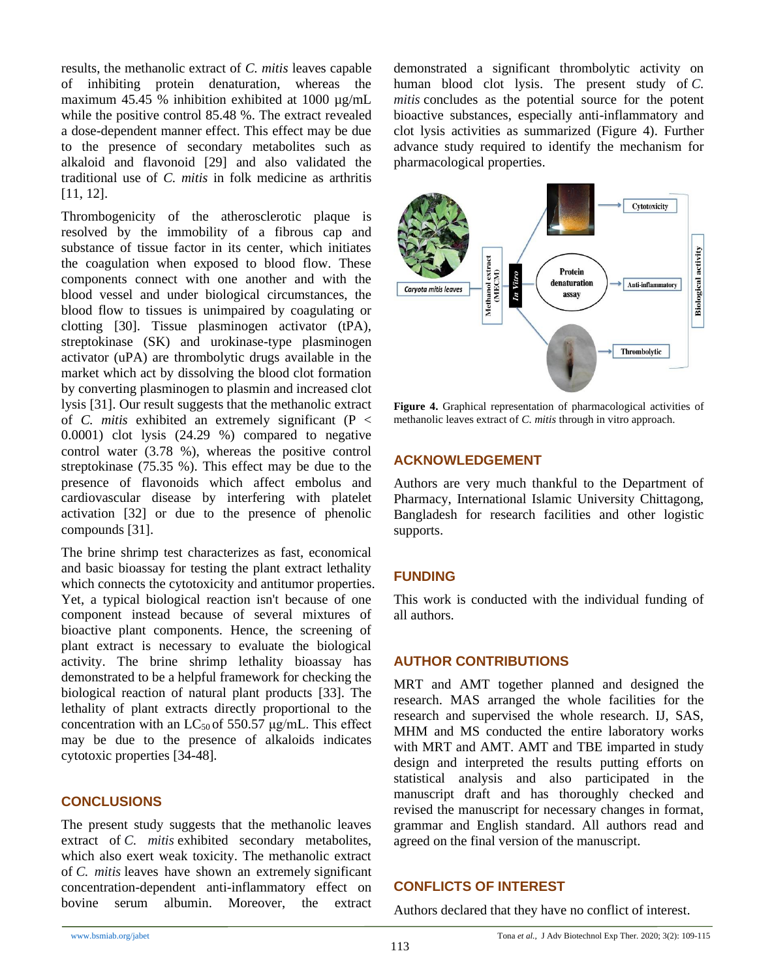results, the methanolic extract of *C. mitis* leaves capable of inhibiting protein denaturation, whereas the maximum 45.45 % inhibition exhibited at 1000  $\mu$ g/mL while the positive control 85.48 %. The extract revealed a dose-dependent manner effect. This effect may be due to the presence of secondary metabolites such as alkaloid and flavonoid [29] and also validated the traditional use of *C. mitis* in folk medicine as arthritis [11, 12].

Thrombogenicity of the atherosclerotic plaque is resolved by the immobility of a fibrous cap and substance of tissue factor in its center, which initiates the coagulation when exposed to blood flow. These components connect with one another and with the blood vessel and under biological circumstances, the blood flow to tissues is unimpaired by coagulating or clotting [30]. Tissue plasminogen activator (tPA), streptokinase (SK) and urokinase-type plasminogen activator (uPA) are thrombolytic drugs available in the market which act by dissolving the blood clot formation by converting plasminogen to plasmin and increased clot lysis [31]. Our result suggests that the methanolic extract of *C. mitis* exhibited an extremely significant (P < 0.0001) clot lysis (24.29 %) compared to negative control water (3.78 %), whereas the positive control streptokinase (75.35 %). This effect may be due to the presence of flavonoids which affect embolus and cardiovascular disease by interfering with platelet activation [32] or due to the presence of phenolic compounds [31].

The brine shrimp test characterizes as fast, economical and basic bioassay for testing the plant extract lethality which connects the cytotoxicity and antitumor properties. Yet, a typical biological reaction isn't because of one component instead because of several mixtures of bioactive plant components. Hence, the screening of plant extract is necessary to evaluate the biological activity. The brine shrimp lethality bioassay has demonstrated to be a helpful framework for checking the biological reaction of natural plant products [33]. The lethality of plant extracts directly proportional to the concentration with an  $LC_{50}$  of 550.57 μg/mL. This effect may be due to the presence of alkaloids indicates cytotoxic properties [34-48]*.*

## **CONCLUSIONS**

The present study suggests that the methanolic leaves extract of *C. mitis* exhibited secondary metabolites, which also exert weak toxicity. The methanolic extract of *C. mitis* leaves have shown an extremely significant concentration-dependent anti-inflammatory effect on bovine serum albumin. Moreover, the extract demonstrated a significant thrombolytic activity on human blood clot lysis. The present study of *C. mitis* concludes as the potential source for the potent bioactive substances, especially anti-inflammatory and clot lysis activities as summarized (Figure 4). Further advance study required to identify the mechanism for pharmacological properties.



**Figure 4.** Graphical representation of pharmacological activities of methanolic leaves extract of *C. mitis* through in vitro approach.

# **ACKNOWLEDGEMENT**

Authors are very much thankful to the Department of Pharmacy, International Islamic University Chittagong, Bangladesh for research facilities and other logistic supports.

# **FUNDING**

This work is conducted with the individual funding of all authors.

# **AUTHOR CONTRIBUTIONS**

MRT and AMT together planned and designed the research. MAS arranged the whole facilities for the research and supervised the whole research. IJ, SAS, MHM and MS conducted the entire laboratory works with MRT and AMT. AMT and TBE imparted in study design and interpreted the results putting efforts on statistical analysis and also participated in the manuscript draft and has thoroughly checked and revised the manuscript for necessary changes in format, grammar and English standard. All authors read and agreed on the final version of the manuscript.

## **CONFLICTS OF INTEREST**

Authors declared that they have no conflict of interest.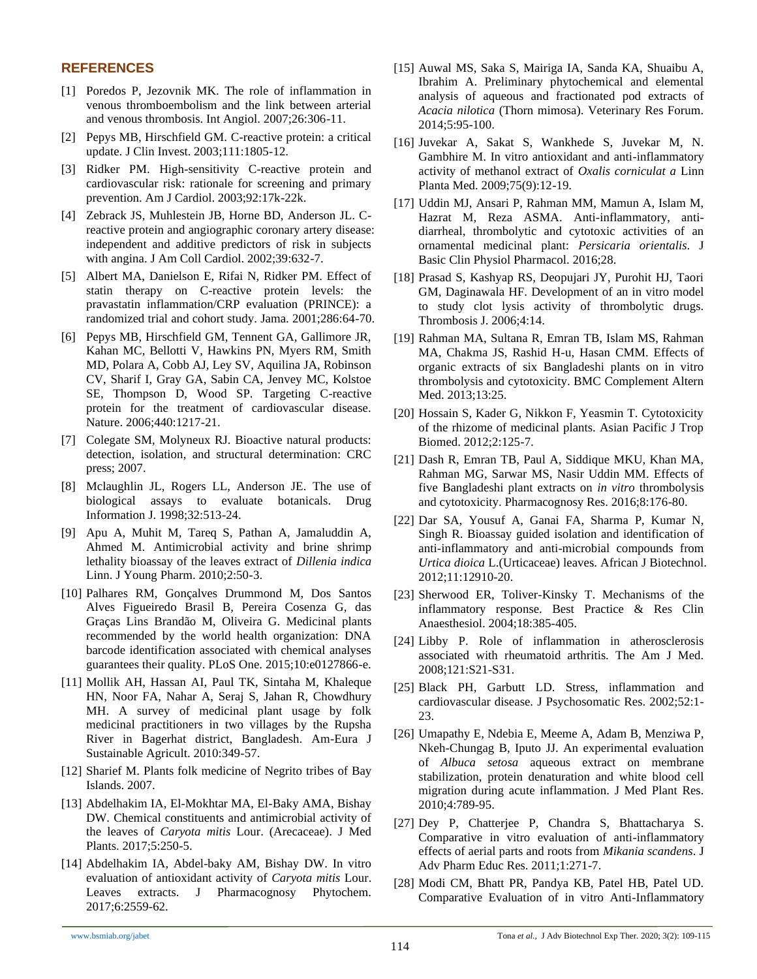## **REFERENCES**

- [1] Poredos P, Jezovnik MK. The role of inflammation in venous thromboembolism and the link between arterial and venous thrombosis. Int Angiol. 2007;26:306-11.
- [2] Pepys MB, Hirschfield GM. C-reactive protein: a critical update. J Clin Invest. 2003;111:1805-12.
- [3] Ridker PM. High-sensitivity C-reactive protein and cardiovascular risk: rationale for screening and primary prevention. Am J Cardiol. 2003;92:17k-22k.
- [4] Zebrack JS, Muhlestein JB, Horne BD, Anderson JL. Creactive protein and angiographic coronary artery disease: independent and additive predictors of risk in subjects with angina. J Am Coll Cardiol. 2002;39:632-7.
- [5] Albert MA, Danielson E, Rifai N, Ridker PM. Effect of statin therapy on C-reactive protein levels: the pravastatin inflammation/CRP evaluation (PRINCE): a randomized trial and cohort study. Jama. 2001;286:64-70.
- [6] Pepys MB, Hirschfield GM, Tennent GA, Gallimore JR, Kahan MC, Bellotti V, Hawkins PN, Myers RM, Smith MD, Polara A, Cobb AJ, Ley SV, Aquilina JA, Robinson CV, Sharif I, Gray GA, Sabin CA, Jenvey MC, Kolstoe SE, Thompson D, Wood SP. Targeting C-reactive protein for the treatment of cardiovascular disease. Nature. 2006;440:1217-21.
- [7] Colegate SM, Molyneux RJ. Bioactive natural products: detection, isolation, and structural determination: CRC press; 2007.
- [8] Mclaughlin JL, Rogers LL, Anderson JE. The use of biological assays to evaluate botanicals. Drug Information J. 1998;32:513-24.
- [9] Apu A, Muhit M, Tareq S, Pathan A, Jamaluddin A, Ahmed M. Antimicrobial activity and brine shrimp lethality bioassay of the leaves extract of *Dillenia indica* Linn. J Young Pharm. 2010;2:50-3.
- [10] Palhares RM, Gonçalves Drummond M, Dos Santos Alves Figueiredo Brasil B, Pereira Cosenza G, das Graças Lins Brandão M, Oliveira G. Medicinal plants recommended by the world health organization: DNA barcode identification associated with chemical analyses guarantees their quality. PLoS One. 2015;10:e0127866-e.
- [11] Mollik AH, Hassan AI, Paul TK, Sintaha M, Khaleque HN, Noor FA, Nahar A, Seraj S, Jahan R, Chowdhury MH. A survey of medicinal plant usage by folk medicinal practitioners in two villages by the Rupsha River in Bagerhat district, Bangladesh. Am-Eura J Sustainable Agricult. 2010:349-57.
- [12] Sharief M. Plants folk medicine of Negrito tribes of Bay Islands. 2007.
- [13] Abdelhakim IA, El-Mokhtar MA, El-Baky AMA, Bishay DW. Chemical constituents and antimicrobial activity of the leaves of *Caryota mitis* Lour. (Arecaceae). J Med Plants. 2017;5:250-5.
- [14] Abdelhakim IA, Abdel-baky AM, Bishay DW. In vitro evaluation of antioxidant activity of *Caryota mitis* Lour. Leaves extracts. J Pharmacognosy Phytochem. 2017;6:2559-62.
- [15] Auwal MS, Saka S, Mairiga IA, Sanda KA, Shuaibu A, Ibrahim A. Preliminary phytochemical and elemental analysis of aqueous and fractionated pod extracts of *Acacia nilotica* (Thorn mimosa). Veterinary Res Forum. 2014;5:95-100.
- [16] Juvekar A, Sakat S, Wankhede S, Juvekar M, N. Gambhire M. In vitro antioxidant and anti-inflammatory activity of methanol extract of *Oxalis corniculat a* Linn Planta Med. 2009;75(9):12-19.
- [17] Uddin MJ, Ansari P, Rahman MM, Mamun A, Islam M, Hazrat M, Reza ASMA. Anti-inflammatory, antidiarrheal, thrombolytic and cytotoxic activities of an ornamental medicinal plant: *Persicaria orientalis*. J Basic Clin Physiol Pharmacol. 2016;28.
- [18] Prasad S, Kashyap RS, Deopujari JY, Purohit HJ, Taori GM, Daginawala HF. Development of an in vitro model to study clot lysis activity of thrombolytic drugs. Thrombosis J. 2006;4:14.
- [19] Rahman MA, Sultana R, Emran TB, Islam MS, Rahman MA, Chakma JS, Rashid H-u, Hasan CMM. Effects of organic extracts of six Bangladeshi plants on in vitro thrombolysis and cytotoxicity. BMC Complement Altern Med. 2013;13:25.
- [20] Hossain S, Kader G, Nikkon F, Yeasmin T. Cytotoxicity of the rhizome of medicinal plants. Asian Pacific J Trop Biomed. 2012;2:125-7.
- [21] Dash R, Emran TB, Paul A, Siddique MKU, Khan MA, Rahman MG, Sarwar MS, Nasir Uddin MM. Effects of five Bangladeshi plant extracts on *in vitro* thrombolysis and cytotoxicity. Pharmacognosy Res. 2016;8:176-80.
- [22] Dar SA, Yousuf A, Ganai FA, Sharma P, Kumar N, Singh R. Bioassay guided isolation and identification of anti-inflammatory and anti-microbial compounds from *Urtica dioica* L.(Urticaceae) leaves. African J Biotechnol. 2012;11:12910-20.
- [23] Sherwood ER, Toliver-Kinsky T. Mechanisms of the inflammatory response. Best Practice & Res Clin Anaesthesiol. 2004;18:385-405.
- [24] Libby P. Role of inflammation in atherosclerosis associated with rheumatoid arthritis. The Am J Med. 2008;121:S21-S31.
- [25] Black PH, Garbutt LD. Stress, inflammation and cardiovascular disease. J Psychosomatic Res. 2002;52:1- 23.
- [26] Umapathy E, Ndebia E, Meeme A, Adam B, Menziwa P, Nkeh-Chungag B, Iputo JJ. An experimental evaluation of *Albuca setosa* aqueous extract on membrane stabilization, protein denaturation and white blood cell migration during acute inflammation. J Med Plant Res. 2010;4:789-95.
- [27] Dey P, Chatterjee P, Chandra S, Bhattacharya S. Comparative in vitro evaluation of anti-inflammatory effects of aerial parts and roots from *Mikania scandens*. J Adv Pharm Educ Res. 2011;1:271-7.
- [28] Modi CM, Bhatt PR, Pandya KB, Patel HB, Patel UD. Comparative Evaluation of in vitro Anti-Inflammatory